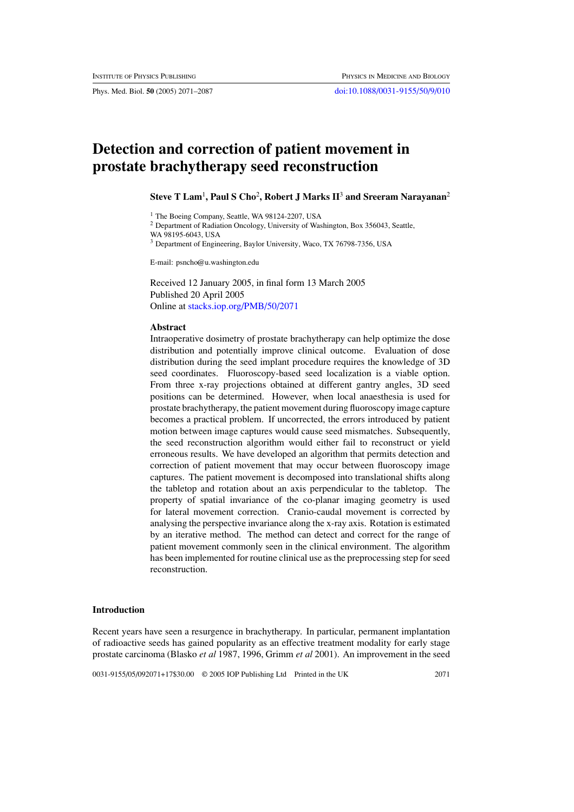Phys. Med. Biol. **50** (2005) 2071–2087 [doi:10.1088/0031-9155/50/9/010](http://dx.doi.org/10.1088/0031-9155/50/9/010)

# **Detection and correction of patient movement in prostate brachytherapy seed reconstruction**

**Steve T Lam**<sup>1</sup> **, Paul S Cho**<sup>2</sup> **, Robert J Marks II**<sup>3</sup> **and Sreeram Narayanan**<sup>2</sup>

<sup>1</sup> The Boeing Company, Seattle, WA 98124-2207, USA

<sup>2</sup> Department of Radiation Oncology, University of Washington, Box 356043, Seattle,

WA 98195-6043, USA

<sup>3</sup> Department of Engineering, Baylor University, Waco, TX 76798-7356, USA

E-mail: psncho@u.washington.edu

Received 12 January 2005, in final form 13 March 2005 Published 20 April 2005 Online at [stacks.iop.org/PMB/50/2071](http://stacks.iop.org/pb/50/2071)

## **Abstract**

Intraoperative dosimetry of prostate brachytherapy can help optimize the dose distribution and potentially improve clinical outcome. Evaluation of dose distribution during the seed implant procedure requires the knowledge of 3D seed coordinates. Fluoroscopy-based seed localization is a viable option. From three x-ray projections obtained at different gantry angles, 3D seed positions can be determined. However, when local anaesthesia is used for prostate brachytherapy, the patient movement during fluoroscopy image capture becomes a practical problem. If uncorrected, the errors introduced by patient motion between image captures would cause seed mismatches. Subsequently, the seed reconstruction algorithm would either fail to reconstruct or yield erroneous results. We have developed an algorithm that permits detection and correction of patient movement that may occur between fluoroscopy image captures. The patient movement is decomposed into translational shifts along the tabletop and rotation about an axis perpendicular to the tabletop. The property of spatial invariance of the co-planar imaging geometry is used for lateral movement correction. Cranio-caudal movement is corrected by analysing the perspective invariance along the x-ray axis. Rotation is estimated by an iterative method. The method can detect and correct for the range of patient movement commonly seen in the clinical environment. The algorithm has been implemented for routine clinical use as the preprocessing step for seed reconstruction.

# **Introduction**

Recent years have seen a resurgence in brachytherapy. In particular, permanent implantation of radioactive seeds has gained popularity as an effective treatment modality for early stage prostate carcinoma [\(Blasko](#page-15-0) *et al* [1987](#page-15-0), [1996,](#page-15-1) [Grimm](#page-15-2) *et al* [2001](#page-15-2)). An improvement in the seed

0031-9155/05/092071+17\$30.00 © 2005 IOP Publishing Ltd Printed in the UK 2071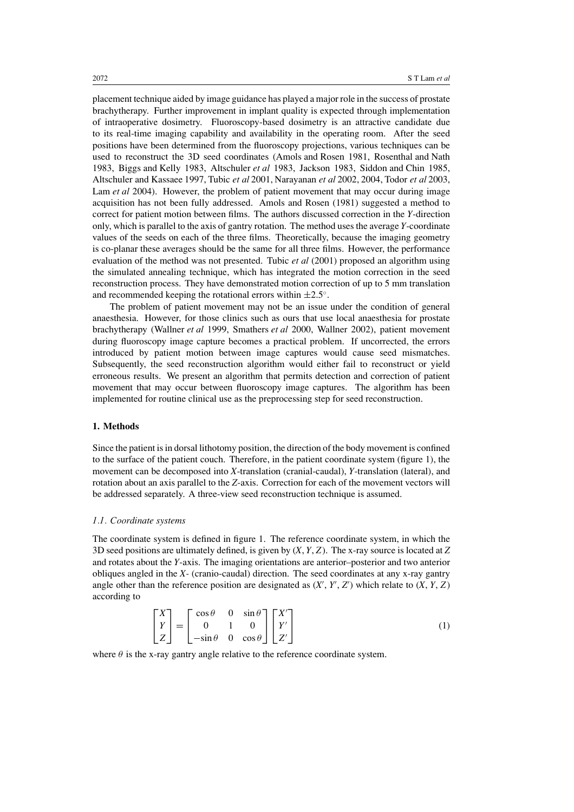placement technique aided by image guidance has played a major role in the success of prostate brachytherapy. Further improvement in implant quality is expected through implementation of intraoperative dosimetry. Fluoroscopy-based dosimetry is an attractive candidate due to its real-time imaging capability and availability in the operating room. After the seed positions have been determined from the fluoroscopy projections, various techniques can be used to reconstruct the 3D seed coordinates [\(Amols and Rosen 1981,](#page-15-3) [Rosenthal and Nath](#page-16-0) [1983,](#page-16-0) [Biggs and Kelly 1983](#page-15-4), [Altschuler](#page-15-5) *et al* [1983,](#page-15-5) [Jackson 1983](#page-15-6), [Siddon and Chin 1985](#page-16-1), [Altschuler and Kassaee 1997](#page-15-7), [Tubic](#page-16-2) *et al* [2001](#page-16-2), [Narayanan](#page-16-3) *et al* [2002,](#page-16-3) [2004](#page-16-4), [Todor](#page-16-5) *et al* [2003](#page-16-5), [Lam](#page-16-6) *et al* [2004](#page-16-6)). However, the problem of patient movement that may occur during image acquisition has not been fully addressed. Amols and Rosen [\(1981](#page-15-3)) suggested a method to correct for patient motion between films. The authors discussed correction in the *Y*-direction only, which is parallel to the axis of gantry rotation. The method uses the average *Y*-coordinate values of the seeds on each of the three films. Theoretically, because the imaging geometry is co-planar these averages should be the same for all three films. However, the performance evaluation of the method was not presented. Tubic *et al* [\(2001](#page-16-2)) proposed an algorithm using the simulated annealing technique, which has integrated the motion correction in the seed reconstruction process. They have demonstrated motion correction of up to 5 mm translation and recommended keeping the rotational errors within  $\pm 2.5^\circ$ .

The problem of patient movement may not be an issue under the condition of general anaesthesia. However, for those clinics such as ours that use local anaesthesia for prostate brachytherapy [\(Wallner](#page-16-7) *et al* [1999,](#page-16-7) [Smathers](#page-16-8) *et al* [2000](#page-16-8), [Wallner 2002\)](#page-16-9), patient movement during fluoroscopy image capture becomes a practical problem. If uncorrected, the errors introduced by patient motion between image captures would cause seed mismatches. Subsequently, the seed reconstruction algorithm would either fail to reconstruct or yield erroneous results. We present an algorithm that permits detection and correction of patient movement that may occur between fluoroscopy image captures. The algorithm has been implemented for routine clinical use as the preprocessing step for seed reconstruction.

## **1. Methods**

Since the patient is in dorsal lithotomy position, the direction of the body movement is confined to the surface of the patient couch. Therefore, in the patient coordinate system (figure [1\)](#page-2-0), the movement can be decomposed into *X*-translation (cranial-caudal), *Y*-translation (lateral), and rotation about an axis parallel to the *Z*-axis. Correction for each of the movement vectors will be addressed separately. A three-view seed reconstruction technique is assumed.

## *1.1. Coordinate systems*

The coordinate system is defined in figure [1.](#page-2-0) The reference coordinate system, in which the 3D seed positions are ultimately defined, is given by (*X*, *Y*, *Z*). The x-ray source is located at *Z* and rotates about the *Y*-axis. The imaging orientations are anterior–posterior and two anterior obliques angled in the *X-* (cranio-caudal) direction. The seed coordinates at any x-ray gantry angle other than the reference position are designated as  $(X', Y', Z')$  which relate to  $(X, Y, Z)$ according to

$$
\begin{bmatrix} X \\ Y \\ Z \end{bmatrix} = \begin{bmatrix} \cos \theta & 0 & \sin \theta \\ 0 & 1 & 0 \\ -\sin \theta & 0 & \cos \theta \end{bmatrix} \begin{bmatrix} X' \\ Y' \\ Z' \end{bmatrix}
$$
 (1)

where  $\theta$  is the x-ray gantry angle relative to the reference coordinate system.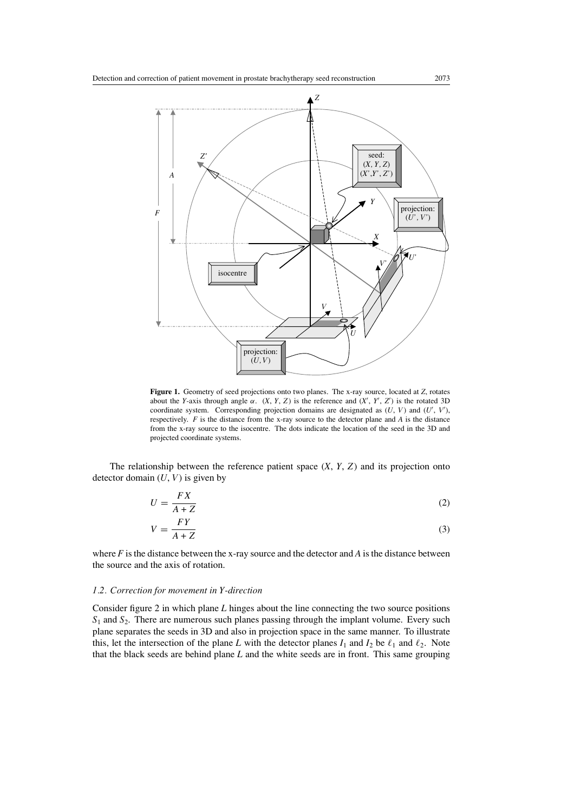

<span id="page-2-0"></span>**Figure 1.** Geometry of seed projections onto two planes. The x-ray source, located at *Z*, rotates about the *Y*-axis through angle  $\alpha$ .  $(X, Y, Z)$  is the reference and  $(X', Y', Z')$  is the rotated 3D coordinate system. Corresponding projection domains are designated as  $(U, V)$  and  $(U', V')$ , respectively. *F* is the distance from the x-ray source to the detector plane and *A* is the distance from the x-ray source to the isocentre. The dots indicate the location of the seed in the 3D and projected coordinate systems.

The relationship between the reference patient space (*X*, *Y*, *Z*) and its projection onto detector domain  $(U, V)$  is given by

$$
U = \frac{FX}{A+Z} \tag{2}
$$

$$
V = \frac{FY}{A + Z} \tag{3}
$$

where  $F$  is the distance between the x-ray source and the detector and  $A$  is the distance between the source and the axis of rotation.

# *1.2. Correction for movement in Y-direction*

Consider figure [2](#page-3-0) in which plane *L* hinges about the line connecting the two source positions *S*<sup>1</sup> and *S*2. There are numerous such planes passing through the implant volume. Every such plane separates the seeds in 3D and also in projection space in the same manner. To illustrate this, let the intersection of the plane *L* with the detector planes  $I_1$  and  $I_2$  be  $\ell_1$  and  $\ell_2$ . Note that the black seeds are behind plane *L* and the white seeds are in front. This same grouping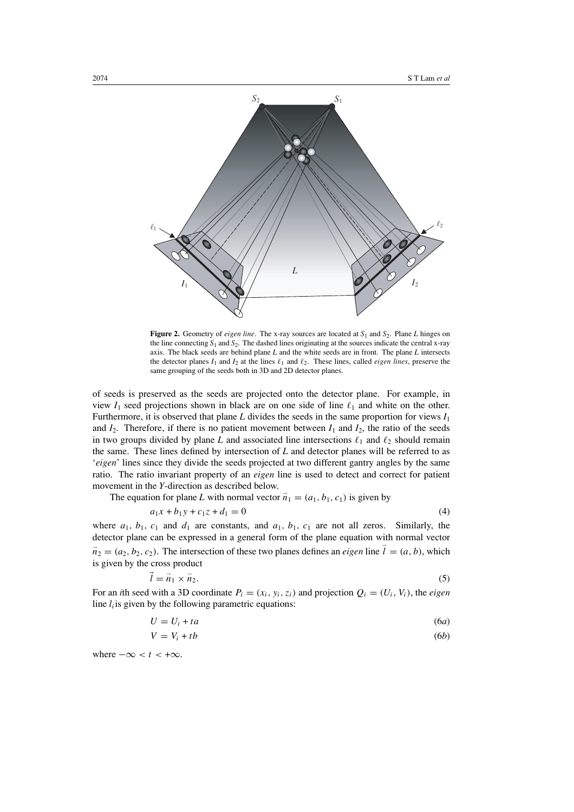

<span id="page-3-0"></span>**Figure 2.** Geometry of *eigen line*. The x-ray sources are located at  $S_1$  and  $S_2$ . Plane *L* hinges on the line connecting *S*<sup>1</sup> and *S*2. The dashed lines originating at the sources indicate the central x-ray axis. The black seeds are behind plane *L* and the white seeds are in front. The plane *L* intersects the detector planes  $I_1$  and  $I_2$  at the lines  $\ell_1$  and  $\ell_2$ . These lines, called *eigen lines*, preserve the same grouping of the seeds both in 3D and 2D detector planes.

of seeds is preserved as the seeds are projected onto the detector plane. For example, in view  $I_1$  seed projections shown in black are on one side of line  $\ell_1$  and white on the other. Furthermore, it is observed that plane  $L$  divides the seeds in the same proportion for views  $I_1$ and  $I_2$ . Therefore, if there is no patient movement between  $I_1$  and  $I_2$ , the ratio of the seeds in two groups divided by plane *L* and associated line intersections  $\ell_1$  and  $\ell_2$  should remain the same. These lines defined by intersection of *L* and detector planes will be referred to as '*eigen*' lines since they divide the seeds projected at two different gantry angles by the same ratio. The ratio invariant property of an *eigen* line is used to detect and correct for patient movement in the *Y*-direction as described below.

The equation for plane *L* with normal vector  $\vec{n}_1 = (a_1, b_1, c_1)$  is given by

$$
a_1x + b_1y + c_1z + d_1 = 0 \tag{4}
$$

where  $a_1$ ,  $b_1$ ,  $c_1$  and  $d_1$  are constants, and  $a_1$ ,  $b_1$ ,  $c_1$  are not all zeros. Similarly, the detector plane can be expressed in a general form of the plane equation with normal vector  $\vec{n}_2 = (a_2, b_2, c_2)$ . The intersection of these two planes defines an *eigen* line  $\vec{l} = (a, b)$ , which is given by the cross product

$$
\vec{l} = \vec{n}_1 \times \vec{n}_2. \tag{5}
$$

For an *i*th seed with a 3D coordinate  $P_i = (x_i, y_i, z_i)$  and projection  $Q_i = (U_i, V_i)$ , the *eigen* line  $l_i$  is given by the following parametric equations:

$$
U = U_i + ta \tag{6a}
$$

$$
V = V_i + tb \tag{6b}
$$

where  $-\infty < t < +\infty$ .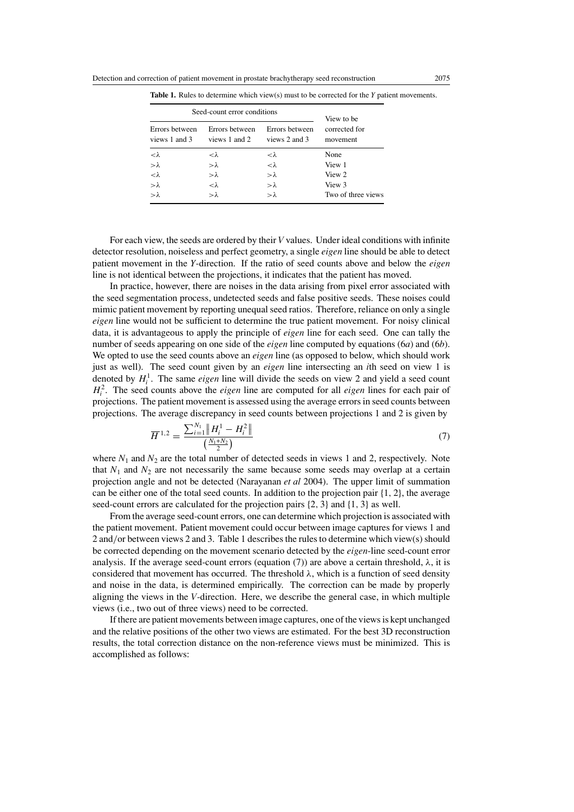| Seed-count error conditions     | View to be                      |                                 |                           |  |
|---------------------------------|---------------------------------|---------------------------------|---------------------------|--|
| Errors between<br>views 1 and 3 | Errors between<br>views 1 and 2 | Errors between<br>views 2 and 3 | corrected for<br>movement |  |
| $<\lambda$                      | $<\lambda$                      | $<\lambda$                      | None                      |  |
| $>\lambda$                      | $>\lambda$                      | $<\lambda$                      | View 1                    |  |
| $<\lambda$                      | $>\lambda$                      | $>\lambda$                      | View 2                    |  |
| $>\lambda$                      | $<\lambda$                      | $>\lambda$                      | View 3                    |  |
| $>\lambda$                      | $>\lambda$                      | $>\lambda$                      | Two of three views        |  |

<span id="page-4-0"></span>**Table 1.** Rules to determine which view(s) must to be corrected for the *Y* patient movements.

For each view, the seeds are ordered by their *V* values. Under ideal conditions with infinite detector resolution, noiseless and perfect geometry, a single *eigen* line should be able to detect patient movement in the *Y*-direction. If the ratio of seed counts above and below the *eigen* line is not identical between the projections, it indicates that the patient has moved.

In practice, however, there are noises in the data arising from pixel error associated with the seed segmentation process, undetected seeds and false positive seeds. These noises could mimic patient movement by reporting unequal seed ratios. Therefore, reliance on only a single *eigen* line would not be sufficient to determine the true patient movement. For noisy clinical data, it is advantageous to apply the principle of *eigen* line for each seed. One can tally the number of seeds appearing on one side of the *eigen* line computed by equations (6*a*) and (6*b*). We opted to use the seed counts above an *eigen* line (as opposed to below, which should work just as well). The seed count given by an *eigen* line intersecting an *i*th seed on view 1 is denoted by  $H_i^1$ . The same *eigen* line will divide the seeds on view 2 and yield a seed count  $H_i^2$ . The seed counts above the *eigen* line are computed for all *eigen* lines for each pair of projections. The patient movement is assessed using the average errors in seed counts between projections. The average discrepancy in seed counts between projections 1 and 2 is given by

$$
\overline{H}^{1,2} = \frac{\sum_{i=1}^{N_1} \|H_i^1 - H_i^2\|}{\left(\frac{N_1 + N_2}{2}\right)}
$$
(7)

<span id="page-4-1"></span>where  $N_1$  and  $N_2$  are the total number of detected seeds in views 1 and 2, respectively. Note that  $N_1$  and  $N_2$  are not necessarily the same because some seeds may overlap at a certain projection angle and not be detected [\(Narayanan](#page-16-4) *et al* [2004](#page-16-4)). The upper limit of summation can be either one of the total seed counts. In addition to the projection pair {1*,* 2}, the average seed-count errors are calculated for the projection pairs {2*,* 3} and {1*,* 3} as well.

From the average seed-count errors, one can determine which projection is associated with the patient movement. Patient movement could occur between image captures for views 1 and 2 and*/*or between views 2 and 3. Table [1](#page-4-0) describes the rules to determine which view(s) should be corrected depending on the movement scenario detected by the *eigen*-line seed-count error analysis. If the average seed-count errors (equation [\(7\)](#page-4-1)) are above a certain threshold,  $\lambda$ , it is considered that movement has occurred. The threshold  $\lambda$ , which is a function of seed density and noise in the data, is determined empirically. The correction can be made by properly aligning the views in the *V*-direction. Here, we describe the general case, in which multiple views (i.e., two out of three views) need to be corrected.

If there are patient movements between image captures, one of the views is kept unchanged and the relative positions of the other two views are estimated. For the best 3D reconstruction results, the total correction distance on the non-reference views must be minimized. This is accomplished as follows: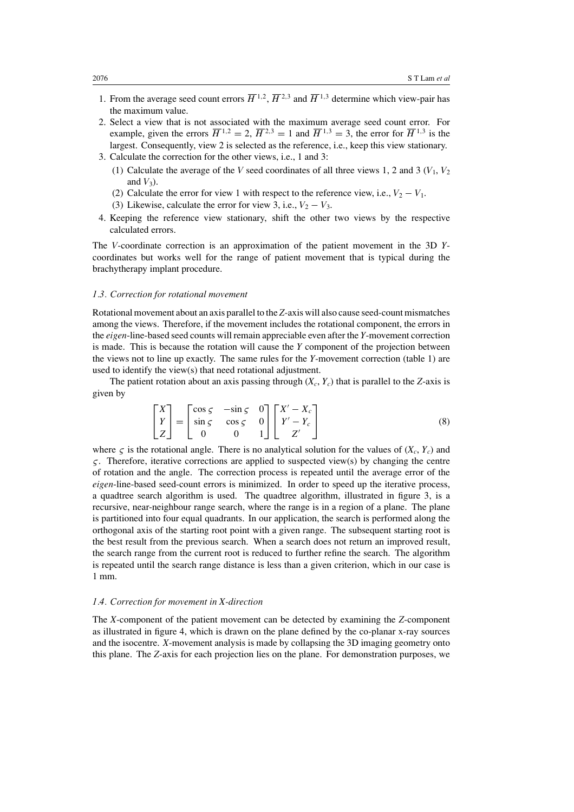- 1. From the average seed count errors  $\overline{H}^{1,2}$ ,  $\overline{H}^{2,3}$  and  $\overline{H}^{1,3}$  determine which view-pair has the maximum value.
- 2. Select a view that is not associated with the maximum average seed count error. For example, given the errors  $\overline{H}^{1,2} = 2$ ,  $\overline{H}^{2,3} = 1$  and  $\overline{H}^{1,3} = 3$ , the error for  $\overline{H}^{1,3}$  is the largest. Consequently, view 2 is selected as the reference, i.e., keep this view stationary. 3. Calculate the correction for the other views, i.e., 1 and 3:
	- (1) Calculate the average of the *V* seed coordinates of all three views 1, 2 and 3  $(V_1, V_2)$ and  $V_3$ ).
	- (2) Calculate the error for view 1 with respect to the reference view, i.e.,  $V_2 V_1$ .
	- (3) Likewise, calculate the error for view 3, i.e.,  $V_2 V_3$ .
- 4. Keeping the reference view stationary, shift the other two views by the respective calculated errors.

The *V*-coordinate correction is an approximation of the patient movement in the 3D *Y*coordinates but works well for the range of patient movement that is typical during the brachytherapy implant procedure.

## *1.3. Correction for rotational movement*

Rotational movement about an axis parallel to the *Z*-axis will also cause seed-count mismatches among the views. Therefore, if the movement includes the rotational component, the errors in the *eigen*-line-based seed counts will remain appreciable even after the *Y*-movement correction is made. This is because the rotation will cause the *Y* component of the projection between the views not to line up exactly. The same rules for the *Y*-movement correction (table [1\)](#page-4-0) are used to identify the view(s) that need rotational adjustment.

The patient rotation about an axis passing through  $(X_c, Y_c)$  that is parallel to the *Z*-axis is given by

$$
\begin{bmatrix} X \\ Y \\ Z \end{bmatrix} = \begin{bmatrix} \cos \varsigma & -\sin \varsigma & 0 \\ \sin \varsigma & \cos \varsigma & 0 \\ 0 & 0 & 1 \end{bmatrix} \begin{bmatrix} X' - X_c \\ Y' - Y_c \\ Z' \end{bmatrix}
$$
 (8)

where  $\zeta$  is the rotational angle. There is no analytical solution for the values of  $(X_c, Y_c)$  and *ς*. Therefore, iterative corrections are applied to suspected view(s) by changing the centre of rotation and the angle. The correction process is repeated until the average error of the *eigen*-line-based seed-count errors is minimized. In order to speed up the iterative process, a quadtree search algorithm is used. The quadtree algorithm, illustrated in figure [3,](#page-6-0) is a recursive, near-neighbour range search, where the range is in a region of a plane. The plane is partitioned into four equal quadrants. In our application, the search is performed along the orthogonal axis of the starting root point with a given range. The subsequent starting root is the best result from the previous search. When a search does not return an improved result, the search range from the current root is reduced to further refine the search. The algorithm is repeated until the search range distance is less than a given criterion, which in our case is 1 mm.

## *1.4. Correction for movement in X-direction*

The *X*-component of the patient movement can be detected by examining the *Z*-component as illustrated in figure [4,](#page-6-1) which is drawn on the plane defined by the co-planar x-ray sources and the isocentre. *X*-movement analysis is made by collapsing the 3D imaging geometry onto this plane. The *Z*-axis for each projection lies on the plane. For demonstration purposes, we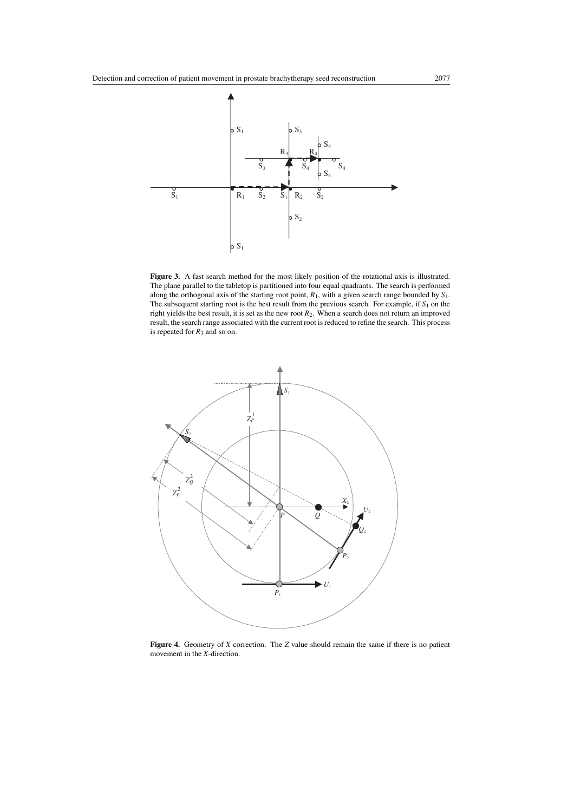

<span id="page-6-0"></span>**Figure 3.** A fast search method for the most likely position of the rotational axis is illustrated. The plane parallel to the tabletop is partitioned into four equal quadrants. The search is performed along the orthogonal axis of the starting root point, *R*1, with a given search range bounded by *S*1. The subsequent starting root is the best result from the previous search. For example, if  $S_1$  on the right yields the best result, it is set as the new root *R*2. When a search does not return an improved result, the search range associated with the current root is reduced to refine the search. This process is repeated for  $R_3$  and so on.



<span id="page-6-1"></span>**Figure 4.** Geometry of *X* correction. The *Z* value should remain the same if there is no patient movement in the *X*-direction.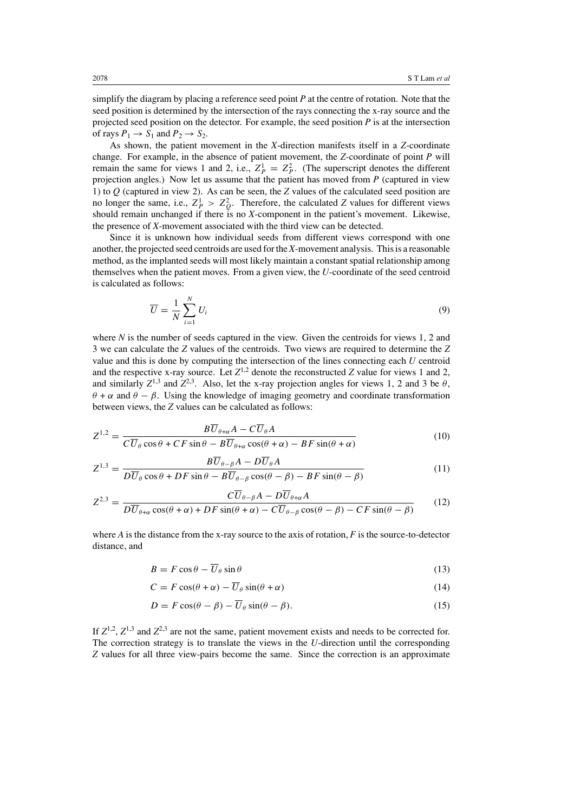simplify the diagram by placing a reference seed point *P* at the centre of rotation. Note that the seed position is determined by the intersection of the rays connecting the x-ray source and the projected seed position on the detector. For example, the seed position *P* is at the intersection of rays  $P_1 \rightarrow S_1$  and  $P_2 \rightarrow S_2$ .

As shown, the patient movement in the *X*-direction manifests itself in a *Z*-coordinate change. For example, in the absence of patient movement, the *Z*-coordinate of point *P* will remain the same for views 1 and 2, i.e.,  $Z_P^1 = Z_P^2$ . (The superscript denotes the different projection angles.) Now let us assume that the patient has moved from *P* (captured in view 1) to *Q* (captured in view 2). As can be seen, the *Z* values of the calculated seed position are no longer the same, i.e.,  $Z_P^1 > Z_Q^2$ . Therefore, the calculated *Z* values for different views should remain unchanged if there is no *X*-component in the patient's movement. Likewise, the presence of *X*-movement associated with the third view can be detected.

Since it is unknown how individual seeds from different views correspond with one another, the projected seed centroids are used for the *X*-movement analysis. This is a reasonable method, as the implanted seeds will most likely maintain a constant spatial relationship among themselves when the patient moves. From a given view, the *U*-coordinate of the seed centroid is calculated as follows:

$$
\overline{U} = \frac{1}{N} \sum_{i=1}^{N} U_i
$$
\n(9)

where *N* is the number of seeds captured in the view. Given the centroids for views 1, 2 and 3 we can calculate the *Z* values of the centroids. Two views are required to determine the *Z* value and this is done by computing the intersection of the lines connecting each *U* centroid and the respective x-ray source. Let  $Z^{1,2}$  denote the reconstructed *Z* value for views 1 and 2, and similarly  $Z^{1,3}$  and  $Z^{2,3}$ . Also, let the x-ray projection angles for views 1, 2 and 3 be  $\theta$ , *θ* + *α* and *θ* − *β*. Using the knowledge of imaging geometry and coordinate transformation between views, the *Z* values can be calculated as follows:

$$
Z^{1,2} = \frac{B\overline{U}_{\theta+\alpha}A - C\overline{U}_{\theta}A}{C\overline{U}_{\theta}\cos\theta + CF\sin\theta - B\overline{U}_{\theta+\alpha}\cos(\theta+\alpha) - BF\sin(\theta+\alpha)}\tag{10}
$$

$$
Z^{1,3} = \frac{B\overline{U}_{\theta-\beta}A - D\overline{U}_{\theta}A}{D\overline{U}_{\theta}\cos\theta + DF\sin\theta - B\overline{U}_{\theta-\beta}\cos(\theta-\beta) - BF\sin(\theta-\beta)}
$$
(11)

$$
Z^{2,3} = \frac{C\overline{U}_{\theta-\beta}A - D\overline{U}_{\theta+\alpha}A}{D\overline{U}_{\theta+\alpha}\cos(\theta+\alpha) + DF\sin(\theta+\alpha) - C\overline{U}_{\theta-\beta}\cos(\theta-\beta) - CF\sin(\theta-\beta)}
$$
(12)

where *A* is the distance from the x-ray source to the axis of rotation, *F* is the source-to-detector distance, and

$$
B = F\cos\theta - \overline{U}_{\theta}\sin\theta\tag{13}
$$

$$
C = F\cos(\theta + \alpha) - \overline{U}_{\theta}\sin(\theta + \alpha) \tag{14}
$$

$$
D = F\cos(\theta - \beta) - \overline{U}_{\theta}\sin(\theta - \beta). \tag{15}
$$

If  $Z^{1,2}$ ,  $Z^{1,3}$  and  $Z^{2,3}$  are not the same, patient movement exists and needs to be corrected for. The correction strategy is to translate the views in the *U*-direction until the corresponding *Z* values for all three view-pairs become the same. Since the correction is an approximate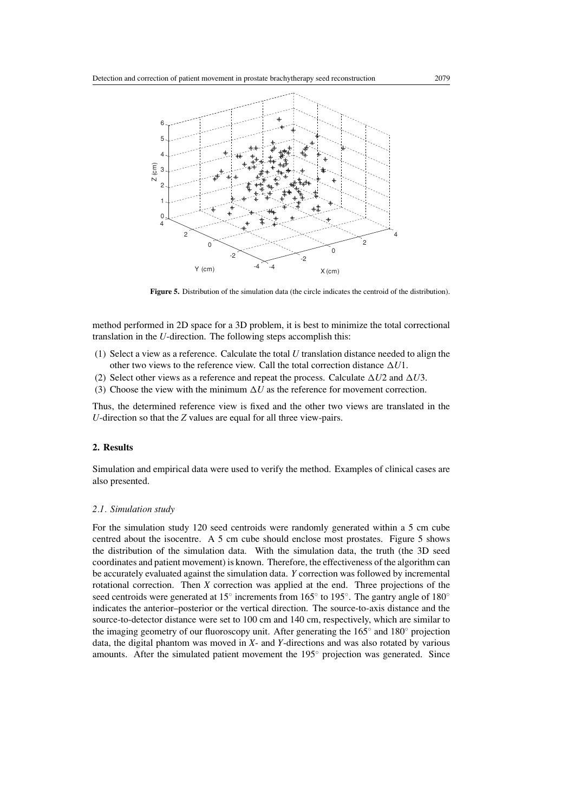

**Figure 5.** Distribution of the simulation data (the circle indicates the centroid of the distribution).

<span id="page-8-0"></span>method performed in 2D space for a 3D problem, it is best to minimize the total correctional translation in the *U*-direction. The following steps accomplish this:

- (1) Select a view as a reference. Calculate the total *U* translation distance needed to align the other two views to the reference view. Call the total correction distance  $\Delta U1$ .
- (2) Select other views as a reference and repeat the process. Calculate  $\Delta U2$  and  $\Delta U3$ .
- (3) Choose the view with the minimum  $\Delta U$  as the reference for movement correction.

Thus, the determined reference view is fixed and the other two views are translated in the *U*-direction so that the *Z* values are equal for all three view-pairs.

# **2. Results**

Simulation and empirical data were used to verify the method. Examples of clinical cases are also presented.

## *2.1. Simulation study*

For the simulation study 120 seed centroids were randomly generated within a 5 cm cube centred about the isocentre. A 5 cm cube should enclose most prostates. Figure [5](#page-8-0) shows the distribution of the simulation data. With the simulation data, the truth (the 3D seed coordinates and patient movement) is known. Therefore, the effectiveness of the algorithm can be accurately evaluated against the simulation data. *Y* correction was followed by incremental rotational correction. Then *X* correction was applied at the end. Three projections of the seed centroids were generated at 15° increments from 165° to 195°. The gantry angle of 180° indicates the anterior–posterior or the vertical direction. The source-to-axis distance and the source-to-detector distance were set to 100 cm and 140 cm, respectively, which are similar to the imaging geometry of our fluoroscopy unit. After generating the 165◦ and 180◦ projection data, the digital phantom was moved in *X*- and *Y*-directions and was also rotated by various amounts. After the simulated patient movement the 195◦ projection was generated. Since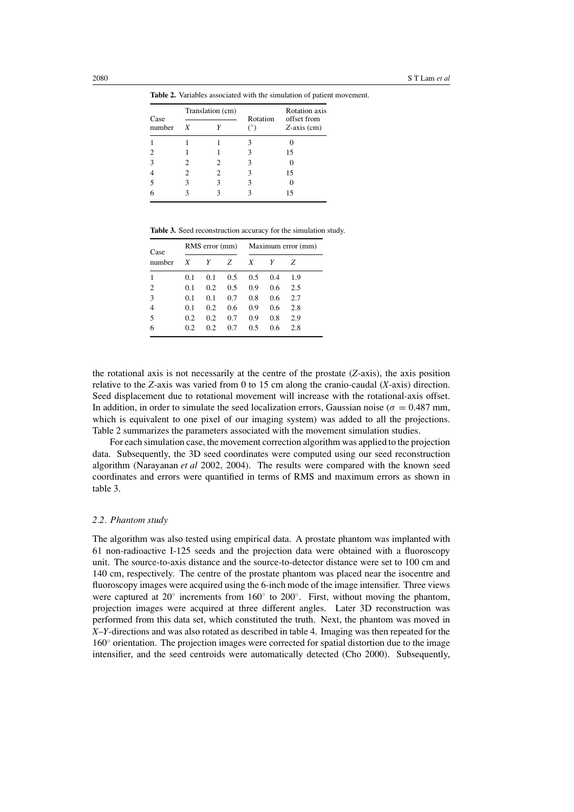**Table 2.** Variables associated with the simulation of patient movement.

<span id="page-9-0"></span>

|                | Translation (cm) |   |          | <b>Rotation</b> axis            |  |
|----------------|------------------|---|----------|---------------------------------|--|
| Case<br>number | X                |   | Rotation | offset from<br>$Z$ -axis $(cm)$ |  |
|                |                  |   |          |                                 |  |
|                |                  |   |          | 15                              |  |
| 3              |                  | 2 |          |                                 |  |
|                |                  | 2 | 3        | 15                              |  |
| 5              |                  |   |          |                                 |  |
|                |                  |   |          | 15                              |  |
|                |                  |   |          |                                 |  |

**Table 3.** Seed reconstruction accuracy for the simulation study.

<span id="page-9-1"></span>

| Case   | RMS error (mm) |     |     | Maximum error (mm) |     |     |
|--------|----------------|-----|-----|--------------------|-----|-----|
| number | X              | Y   | Z   | X                  | Y   | Z   |
|        | 0.1            | 0.1 | 0.5 | 0.5                | 0.4 | 1.9 |
| 2      | 0.1            | 0.2 | 0.5 | 0.9                | 0.6 | 2.5 |
| 3      | 0.1            | 0.1 | 0.7 | 0.8                | 0.6 | 2.7 |
| 4      | 0.1            | 0.2 | 0.6 | 0.9                | 0.6 | 2.8 |
| 5      | 0.2            | 0.2 | 0.7 | 0.9                | 0.8 | 2.9 |
| 6      | 0.2            | 0.2 | 0.7 | 0.5                | 0.6 | 2.8 |

the rotational axis is not necessarily at the centre of the prostate (*Z*-axis), the axis position relative to the *Z*-axis was varied from 0 to 15 cm along the cranio-caudal (*X*-axis) direction. Seed displacement due to rotational movement will increase with the rotational-axis offset. In addition, in order to simulate the seed localization errors, Gaussian noise ( $\sigma = 0.487$  mm, which is equivalent to one pixel of our imaging system) was added to all the projections. Table [2](#page-9-0) summarizes the parameters associated with the movement simulation studies.

For each simulation case, the movement correction algorithm was applied to the projection data. Subsequently, the 3D seed coordinates were computed using our seed reconstruction algorithm [\(Narayanan](#page-16-3) *et al* [2002](#page-16-3), [2004](#page-16-4)). The results were compared with the known seed coordinates and errors were quantified in terms of RMS and maximum errors as shown in table [3.](#page-9-1)

#### *2.2. Phantom study*

The algorithm was also tested using empirical data. A prostate phantom was implanted with 61 non-radioactive I-125 seeds and the projection data were obtained with a fluoroscopy unit. The source-to-axis distance and the source-to-detector distance were set to 100 cm and 140 cm, respectively. The centre of the prostate phantom was placed near the isocentre and fluoroscopy images were acquired using the 6-inch mode of the image intensifier. Three views were captured at  $20°$  increments from 160° to  $200°$ . First, without moving the phantom, projection images were acquired at three different angles. Later 3D reconstruction was performed from this data set, which constituted the truth. Next, the phantom was moved in *X*–*Y*-directions and was also rotated as described in table [4.](#page-10-0) Imaging was then repeated for the 160◦ orientation. The projection images were corrected for spatial distortion due to the image intensifier, and the seed centroids were automatically detected [\(Cho 2000](#page-15-8)). Subsequently,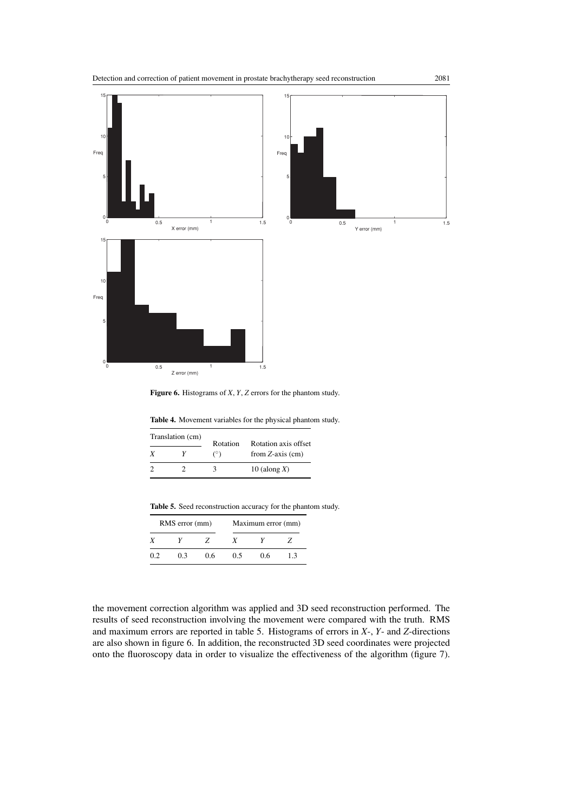

<span id="page-10-2"></span>**Figure 6.** Histograms of *X*, *Y*, *Z* errors for the phantom study.

|  | Table 4. Movement variables for the physical phantom study. |  |  |  |  |
|--|-------------------------------------------------------------|--|--|--|--|
|--|-------------------------------------------------------------|--|--|--|--|

<span id="page-10-0"></span>

| Translation (cm) |  | Rotation   | Rotation axis offset  |  |
|------------------|--|------------|-----------------------|--|
| Y                |  | $(^\circ)$ | from $Z$ -axis $(cm)$ |  |
|                  |  | ч          | 10 (along $X$ )       |  |

**Table 5.** Seed reconstruction accuracy for the phantom study.

<span id="page-10-1"></span>

| RMS error (mm) |     |               | Maximum error (mm) |     |    |  |
|----------------|-----|---------------|--------------------|-----|----|--|
|                |     | $\mathcal{L}$ | x                  |     |    |  |
| 0.2            | 0.3 | 0.6           | 0.5                | 0.6 | 13 |  |

the movement correction algorithm was applied and 3D seed reconstruction performed. The results of seed reconstruction involving the movement were compared with the truth. RMS and maximum errors are reported in table [5.](#page-10-1) Histograms of errors in *X*-, *Y*- and *Z*-directions are also shown in figure [6.](#page-10-2) In addition, the reconstructed 3D seed coordinates were projected onto the fluoroscopy data in order to visualize the effectiveness of the algorithm (figure [7\)](#page-11-0).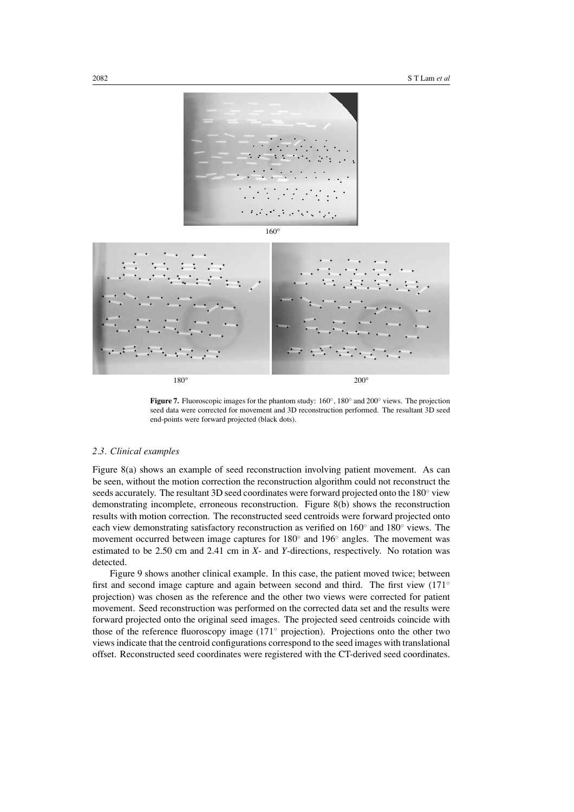



<span id="page-11-0"></span>**Figure 7.** Fluoroscopic images for the phantom study: 160◦, 180◦ and 200◦ views. The projection seed data were corrected for movement and 3D reconstruction performed. The resultant 3D seed end-points were forward projected (black dots).

# *2.3. Clinical examples*

Figure [8\(](#page-12-0)a) shows an example of seed reconstruction involving patient movement. As can be seen, without the motion correction the reconstruction algorithm could not reconstruct the seeds accurately. The resultant 3D seed coordinates were forward projected onto the 180° view demonstrating incomplete, erroneous reconstruction. Figure [8\(](#page-12-0)b) shows the reconstruction results with motion correction. The reconstructed seed centroids were forward projected onto each view demonstrating satisfactory reconstruction as verified on  $160°$  and  $180°$  views. The movement occurred between image captures for 180◦ and 196◦ angles. The movement was estimated to be 2.50 cm and 2.41 cm in *X*- and *Y*-directions, respectively. No rotation was detected.

Figure [9](#page-13-0) shows another clinical example. In this case, the patient moved twice; between first and second image capture and again between second and third. The first view (171<sup>°</sup> projection) was chosen as the reference and the other two views were corrected for patient movement. Seed reconstruction was performed on the corrected data set and the results were forward projected onto the original seed images. The projected seed centroids coincide with those of the reference fluoroscopy image (171◦ projection). Projections onto the other two views indicate that the centroid configurations correspond to the seed images with translational offset. Reconstructed seed coordinates were registered with the CT-derived seed coordinates.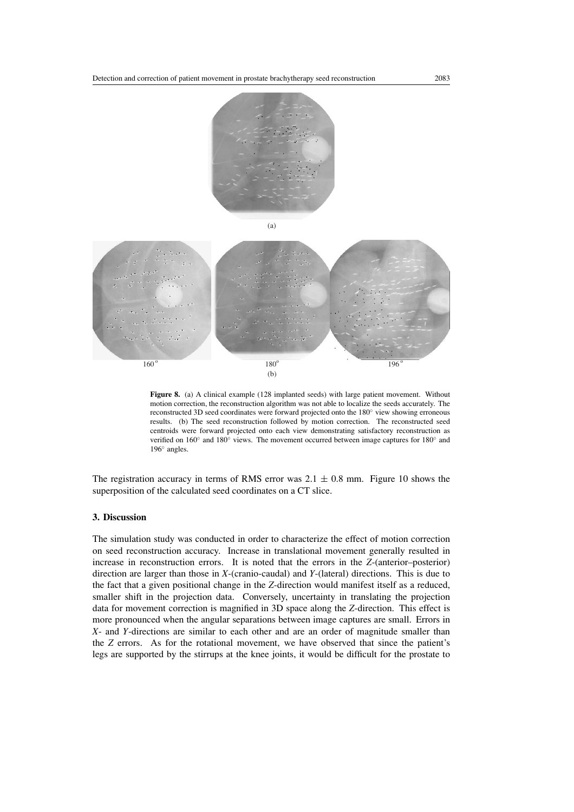



<span id="page-12-0"></span>**Figure 8.** (a) A clinical example (128 implanted seeds) with large patient movement. Without motion correction, the reconstruction algorithm was not able to localize the seeds accurately. The reconstructed 3D seed coordinates were forward projected onto the 180◦ view showing erroneous results. (b) The seed reconstruction followed by motion correction. The reconstructed seed centroids were forward projected onto each view demonstrating satisfactory reconstruction as verified on 160◦ and 180◦ views. The movement occurred between image captures for 180◦ and 196◦ angles.

The registration accuracy in terms of RMS error was  $2.1 \pm 0.8$  mm. Figure [10](#page-14-0) shows the superposition of the calculated seed coordinates on a CT slice.

## **3. Discussion**

The simulation study was conducted in order to characterize the effect of motion correction on seed reconstruction accuracy. Increase in translational movement generally resulted in increase in reconstruction errors. It is noted that the errors in the *Z*-(anterior–posterior) direction are larger than those in *X*-(cranio-caudal) and *Y*-(lateral) directions. This is due to the fact that a given positional change in the *Z*-direction would manifest itself as a reduced, smaller shift in the projection data. Conversely, uncertainty in translating the projection data for movement correction is magnified in 3D space along the *Z*-direction. This effect is more pronounced when the angular separations between image captures are small. Errors in *X*- and *Y*-directions are similar to each other and are an order of magnitude smaller than the *Z* errors. As for the rotational movement, we have observed that since the patient's legs are supported by the stirrups at the knee joints, it would be difficult for the prostate to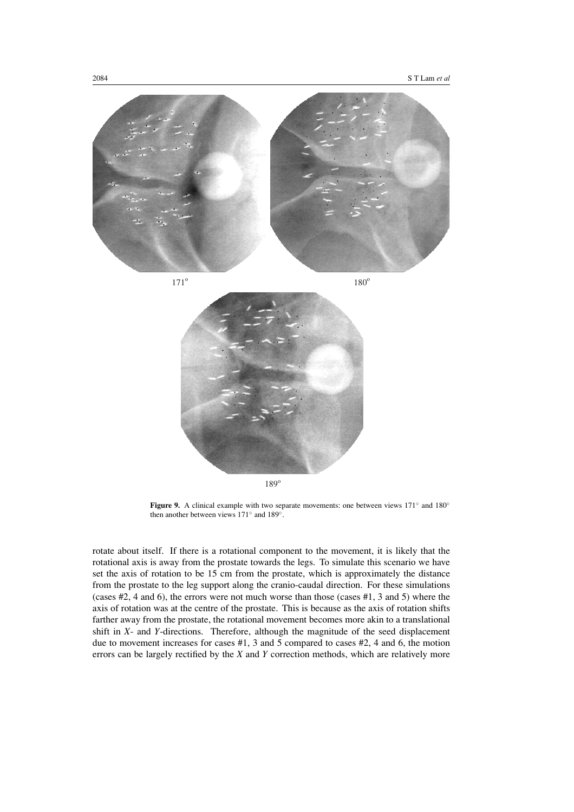

189<sup>o</sup>

<span id="page-13-0"></span>**Figure 9.** A clinical example with two separate movements: one between views 171◦ and 180◦ then another between views 171◦ and 189◦.

rotate about itself. If there is a rotational component to the movement, it is likely that the rotational axis is away from the prostate towards the legs. To simulate this scenario we have set the axis of rotation to be 15 cm from the prostate, which is approximately the distance from the prostate to the leg support along the cranio-caudal direction. For these simulations (cases #2, 4 and 6), the errors were not much worse than those (cases #1, 3 and 5) where the axis of rotation was at the centre of the prostate. This is because as the axis of rotation shifts farther away from the prostate, the rotational movement becomes more akin to a translational shift in *X*- and *Y*-directions. Therefore, although the magnitude of the seed displacement due to movement increases for cases #1, 3 and 5 compared to cases #2, 4 and 6, the motion errors can be largely rectified by the *X* and *Y* correction methods, which are relatively more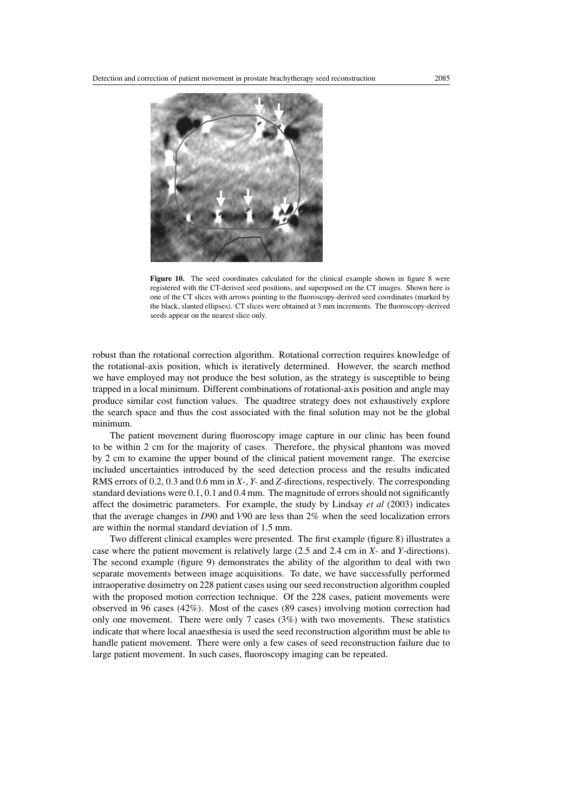

Figure 10. The seed coordinates calculated for the clinical example shown in figure [8](#page-12-0) were registered with the CT-derived seed positions, and superposed on the CT images. Shown here is one of the CT slices with arrows pointing to the fluoroscopy-derived seed coordinates (marked by the black, slanted ellipses). CT slices were obtained at 3 mm increments. The fluoroscopy-derived seeds appear on the nearest slice only.

<span id="page-14-0"></span>robust than the rotational correction algorithm. Rotational correction requires knowledge of the rotational-axis position, which is iteratively determined. However, the search method we have employed may not produce the best solution, as the strategy is susceptible to being trapped in a local minimum. Different combinations of rotational-axis position and angle may produce similar cost function values. The quadtree strategy does not exhaustively explore the search space and thus the cost associated with the final solution may not be the global minimum.

The patient movement during fluoroscopy image capture in our clinic has been found to be within 2 cm for the majority of cases. Therefore, the physical phantom was moved by 2 cm to examine the upper bound of the clinical patient movement range. The exercise included uncertainties introduced by the seed detection process and the results indicated RMS errors of 0.2, 0.3 and 0.6 mm in *X-*, *Y-* and *Z*-directions, respectively. The corresponding standard deviations were 0.1, 0.1 and 0.4 mm. The magnitude of errors should not significantly affect the dosimetric parameters. For example, the study by Lindsay *et al* [\(2003\)](#page-16-10) indicates that the average changes in *D*90 and *V*90 are less than 2% when the seed localization errors are within the normal standard deviation of 1.5 mm.

Two different clinical examples were presented. The first example (figure [8\)](#page-12-0) illustrates a case where the patient movement is relatively large (2.5 and 2.4 cm in *X*- and *Y*-directions). The second example (figure [9\)](#page-13-0) demonstrates the ability of the algorithm to deal with two separate movements between image acquisitions. To date, we have successfully performed intraoperative dosimetry on 228 patient cases using our seed reconstruction algorithm coupled with the proposed motion correction technique. Of the 228 cases, patient movements were observed in 96 cases (42%). Most of the cases (89 cases) involving motion correction had only one movement. There were only 7 cases  $(3%)$  with two movements. These statistics indicate that where local anaesthesia is used the seed reconstruction algorithm must be able to handle patient movement. There were only a few cases of seed reconstruction failure due to large patient movement. In such cases, fluoroscopy imaging can be repeated.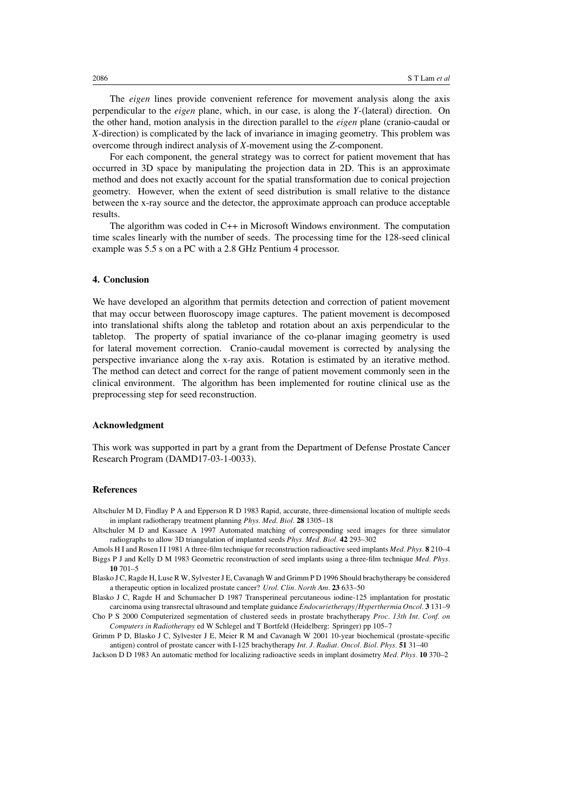The *eigen* lines provide convenient reference for movement analysis along the axis perpendicular to the *eigen* plane, which, in our case, is along the *Y*-(lateral) direction. On the other hand, motion analysis in the direction parallel to the *eigen* plane (cranio-caudal or *X*-direction) is complicated by the lack of invariance in imaging geometry. This problem was overcome through indirect analysis of *X*-movement using the *Z*-component.

For each component, the general strategy was to correct for patient movement that has occurred in 3D space by manipulating the projection data in 2D. This is an approximate method and does not exactly account for the spatial transformation due to conical projection geometry. However, when the extent of seed distribution is small relative to the distance between the x-ray source and the detector, the approximate approach can produce acceptable results.

The algorithm was coded in C++ in Microsoft Windows environment. The computation time scales linearly with the number of seeds. The processing time for the 128-seed clinical example was 5.5 s on a PC with a 2.8 GHz Pentium 4 processor.

# **4. Conclusion**

We have developed an algorithm that permits detection and correction of patient movement that may occur between fluoroscopy image captures. The patient movement is decomposed into translational shifts along the tabletop and rotation about an axis perpendicular to the tabletop. The property of spatial invariance of the co-planar imaging geometry is used for lateral movement correction. Cranio-caudal movement is corrected by analysing the perspective invariance along the x-ray axis. Rotation is estimated by an iterative method. The method can detect and correct for the range of patient movement commonly seen in the clinical environment. The algorithm has been implemented for routine clinical use as the preprocessing step for seed reconstruction.

## **Acknowledgment**

This work was supported in part by a grant from the Department of Defense Prostate Cancer Research Program (DAMD17-03-1-0033).

## **References**

- <span id="page-15-5"></span>Altschuler M D, Findlay P A and Epperson R D 1983 Rapid, accurate, three-dimensional location of multiple seeds in implant radiotherapy treatment planning *Phys. Med. Biol.* **28** 1305–18
- <span id="page-15-7"></span>Altschuler M D and Kassaee A 1997 Automated matching of corresponding seed images for three simulator radiographs to allow 3D triangulation of implanted seeds *Phys. Med. Biol.* **42** 293–302
- <span id="page-15-4"></span><span id="page-15-3"></span>Amols H I and Rosen I I 1981 A three-film technique for reconstruction radioactive seed implants *Med. Phys.* **8** 210–4 Biggs P J and Kelly D M 1983 Geometric reconstruction of seed implants using a three-film technique *Med. Phys.* **10** 701–5
- <span id="page-15-1"></span>Blasko J C, Ragde H, Luse R W, Sylvester J E, Cavanagh W and Grimm P D 1996 Should brachytherapy be considered a therapeutic option in localized prostate cancer? *Urol. Clin. North Am.* **23** 633–50
- <span id="page-15-0"></span>Blasko J C, Ragde H and Schumacher D 1987 Transperineal percutaneous iodine-125 implantation for prostatic carcinoma using transrectal ultrasound and template guidance *Endocurietherapy/Hyperthermia Oncol.* **3** 131–9
- <span id="page-15-8"></span>Cho P S 2000 Computerized segmentation of clustered seeds in prostate brachytherapy *Proc. 13th Int. Conf. on Computers in Radiotherapy* ed W Schlegel and T Bortfeld (Heidelberg: Springer) pp 105–7
- <span id="page-15-2"></span>Grimm P D, Blasko J C, Sylvester J E, Meier R M and Cavanagh W 2001 10-year biochemical (prostate-specific antigen) control of prostate cancer with I-125 brachytherapy *Int. J. Radiat. Oncol. Biol. Phys.* **51** 31–40
- <span id="page-15-6"></span>Jackson D D 1983 An automatic method for localizing radioactive seeds in implant dosimetry *Med. Phys.* **10** 370–2